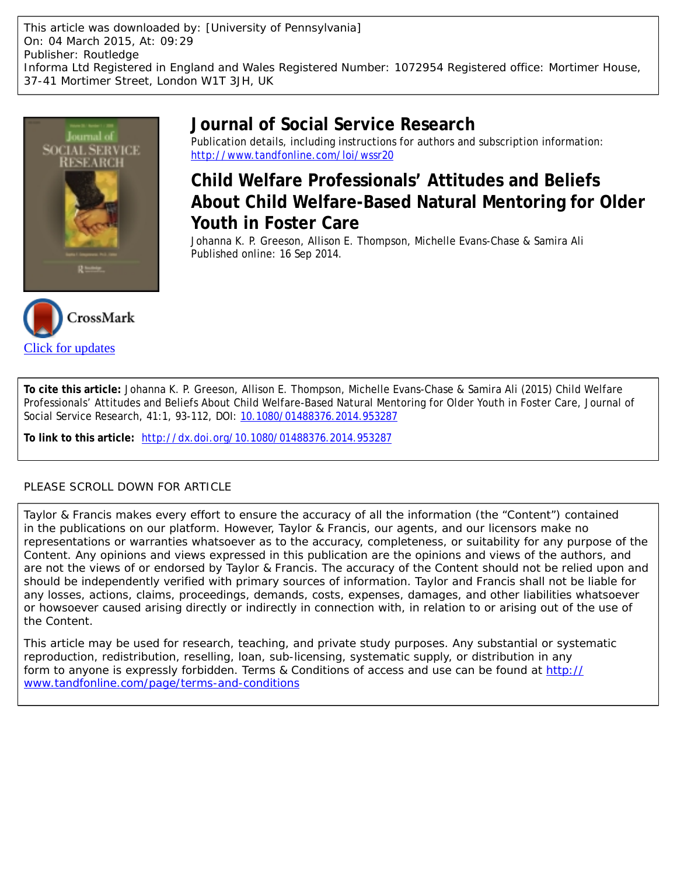This article was downloaded by: [University of Pennsylvania] On: 04 March 2015, At: 09:29 Publisher: Routledge Informa Ltd Registered in England and Wales Registered Number: 1072954 Registered office: Mortimer House, 37-41 Mortimer Street, London W1T 3JH, UK



CrossMark

[Click for updates](http://crossmark.crossref.org/dialog/?doi=10.1080/01488376.2014.953287&domain=pdf&date_stamp=2014-09-16)

# **Journal of Social Service Research**

Publication details, including instructions for authors and subscription information: <http://www.tandfonline.com/loi/wssr20>

# **Child Welfare Professionals' Attitudes and Beliefs About Child Welfare-Based Natural Mentoring for Older Youth in Foster Care**

Johanna K. P. Greeson, Allison E. Thompson, Michelle Evans-Chase & Samira Ali Published online: 16 Sep 2014.



**To link to this article:** <http://dx.doi.org/10.1080/01488376.2014.953287>

# PLEASE SCROLL DOWN FOR ARTICLE

Taylor & Francis makes every effort to ensure the accuracy of all the information (the "Content") contained in the publications on our platform. However, Taylor & Francis, our agents, and our licensors make no representations or warranties whatsoever as to the accuracy, completeness, or suitability for any purpose of the Content. Any opinions and views expressed in this publication are the opinions and views of the authors, and are not the views of or endorsed by Taylor & Francis. The accuracy of the Content should not be relied upon and should be independently verified with primary sources of information. Taylor and Francis shall not be liable for any losses, actions, claims, proceedings, demands, costs, expenses, damages, and other liabilities whatsoever or howsoever caused arising directly or indirectly in connection with, in relation to or arising out of the use of the Content.

This article may be used for research, teaching, and private study purposes. Any substantial or systematic reproduction, redistribution, reselling, loan, sub-licensing, systematic supply, or distribution in any form to anyone is expressly forbidden. Terms & Conditions of access and use can be found at [http://](http://www.tandfonline.com/page/terms-and-conditions) [www.tandfonline.com/page/terms-and-conditions](http://www.tandfonline.com/page/terms-and-conditions)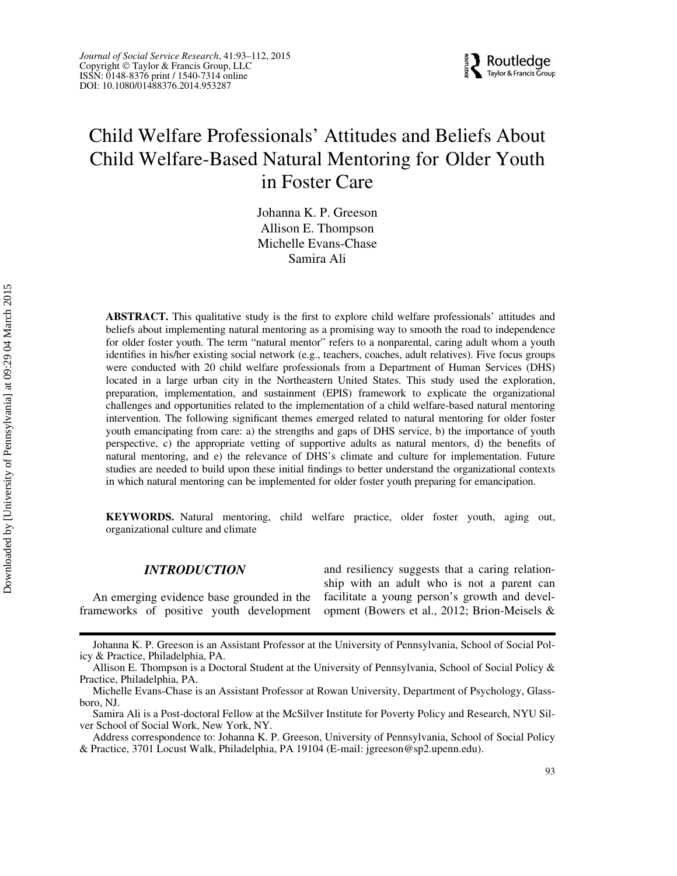

# Child Welfare Professionals' Attitudes and Beliefs About Child Welfare-Based Natural Mentoring for Older Youth in Foster Care

Johanna K. P. Greeson Allison E. Thompson Michelle Evans-Chase Samira Ali

ABSTRACT. This qualitative study is the first to explore child welfare professionals' attitudes and beliefs about implementing natural mentoring as a promising way to smooth the road to independence for older foster youth. The term "natural mentor" refers to a nonparental, caring adult whom a youth identifies in his/her existing social network (e.g., teachers, coaches, adult relatives). Five focus groups were conducted with 20 child welfare professionals from a Department of Human Services (DHS) located in a large urban city in the Northeastern United States. This study used the exploration, preparation, implementation, and sustainment (EPIS) framework to explicate the organizational challenges and opportunities related to the implementation of a child welfare-based natural mentoring intervention. The following significant themes emerged related to natural mentoring for older foster youth emancipating from care: a) the strengths and gaps of DHS service, b) the importance of youth perspective, c) the appropriate vetting of supportive adults as natural mentors, d) the benefits of natural mentoring, and e) the relevance of DHS's climate and culture for implementation. Future studies are needed to build upon these initial findings to better understand the organizational contexts in which natural mentoring can be implemented for older foster youth preparing for emancipation.

KEYWORDS. Natural mentoring, child welfare practice, older foster youth, aging out, organizational culture and climate

## INTRODUCTION

An emerging evidence base grounded in the frameworks of positive youth development and resiliency suggests that a caring relationship with an adult who is not a parent can facilitate a young person's growth and development (Bowers et al., 2012; Brion-Meisels &

Johanna K. P. Greeson is an Assistant Professor at the University of Pennsylvania, School of Social Policy & Practice, Philadelphia, PA.

Allison E. Thompson is a Doctoral Student at the University of Pennsylvania, School of Social Policy & Practice, Philadelphia, PA.

Michelle Evans-Chase is an Assistant Professor at Rowan University, Department of Psychology, Glassboro, NJ.

Samira Ali is a Post-doctoral Fellow at the McSilver Institute for Poverty Policy and Research, NYU Silver School of Social Work, New York, NY.

Address correspondence to: Johanna K. P. Greeson, University of Pennsylvania, School of Social Policy & Practice, 3701 Locust Walk, Philadelphia, PA 19104 (E-mail: jgreeson@sp2.upenn.edu).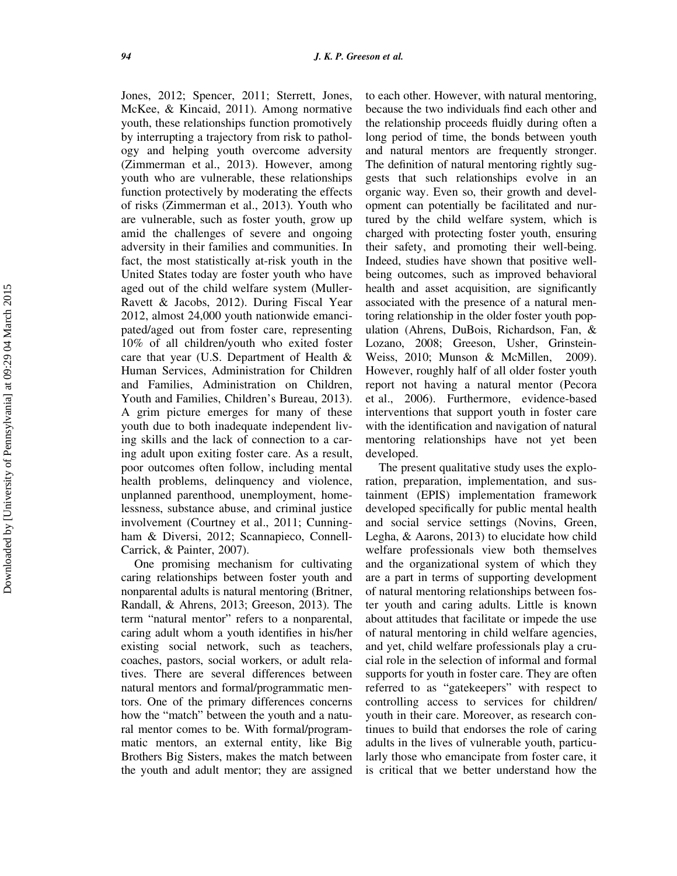Jones, 2012; Spencer, 2011; Sterrett, Jones, McKee, & Kincaid, 2011). Among normative youth, these relationships function promotively by interrupting a trajectory from risk to pathology and helping youth overcome adversity (Zimmerman et al., 2013). However, among youth who are vulnerable, these relationships function protectively by moderating the effects of risks (Zimmerman et al., 2013). Youth who are vulnerable, such as foster youth, grow up amid the challenges of severe and ongoing adversity in their families and communities. In fact, the most statistically at-risk youth in the United States today are foster youth who have aged out of the child welfare system (Muller-Ravett & Jacobs, 2012). During Fiscal Year 2012, almost 24,000 youth nationwide emancipated/aged out from foster care, representing 10% of all children/youth who exited foster care that year (U.S. Department of Health & Human Services, Administration for Children and Families, Administration on Children, Youth and Families, Children's Bureau, 2013). A grim picture emerges for many of these youth due to both inadequate independent living skills and the lack of connection to a caring adult upon exiting foster care. As a result, poor outcomes often follow, including mental health problems, delinquency and violence, unplanned parenthood, unemployment, homelessness, substance abuse, and criminal justice involvement (Courtney et al., 2011; Cunningham & Diversi, 2012; Scannapieco, Connell-Carrick, & Painter, 2007).

One promising mechanism for cultivating caring relationships between foster youth and nonparental adults is natural mentoring (Britner, Randall, & Ahrens, 2013; Greeson, 2013). The term "natural mentor" refers to a nonparental, caring adult whom a youth identifies in his/her existing social network, such as teachers, coaches, pastors, social workers, or adult relatives. There are several differences between natural mentors and formal/programmatic mentors. One of the primary differences concerns how the "match" between the youth and a natural mentor comes to be. With formal/programmatic mentors, an external entity, like Big Brothers Big Sisters, makes the match between the youth and adult mentor; they are assigned to each other. However, with natural mentoring, because the two individuals find each other and the relationship proceeds fluidly during often a long period of time, the bonds between youth and natural mentors are frequently stronger. The definition of natural mentoring rightly suggests that such relationships evolve in an organic way. Even so, their growth and development can potentially be facilitated and nurtured by the child welfare system, which is charged with protecting foster youth, ensuring their safety, and promoting their well-being. Indeed, studies have shown that positive wellbeing outcomes, such as improved behavioral health and asset acquisition, are significantly associated with the presence of a natural mentoring relationship in the older foster youth population (Ahrens, DuBois, Richardson, Fan, & Lozano, 2008; Greeson, Usher, Grinstein-Weiss, 2010; Munson & McMillen, 2009). However, roughly half of all older foster youth report not having a natural mentor (Pecora et al., 2006). Furthermore, evidence-based interventions that support youth in foster care with the identification and navigation of natural mentoring relationships have not yet been developed.

The present qualitative study uses the exploration, preparation, implementation, and sustainment (EPIS) implementation framework developed specifically for public mental health and social service settings (Novins, Green, Legha, & Aarons, 2013) to elucidate how child welfare professionals view both themselves and the organizational system of which they are a part in terms of supporting development of natural mentoring relationships between foster youth and caring adults. Little is known about attitudes that facilitate or impede the use of natural mentoring in child welfare agencies, and yet, child welfare professionals play a crucial role in the selection of informal and formal supports for youth in foster care. They are often referred to as "gatekeepers" with respect to controlling access to services for children/ youth in their care. Moreover, as research continues to build that endorses the role of caring adults in the lives of vulnerable youth, particularly those who emancipate from foster care, it is critical that we better understand how the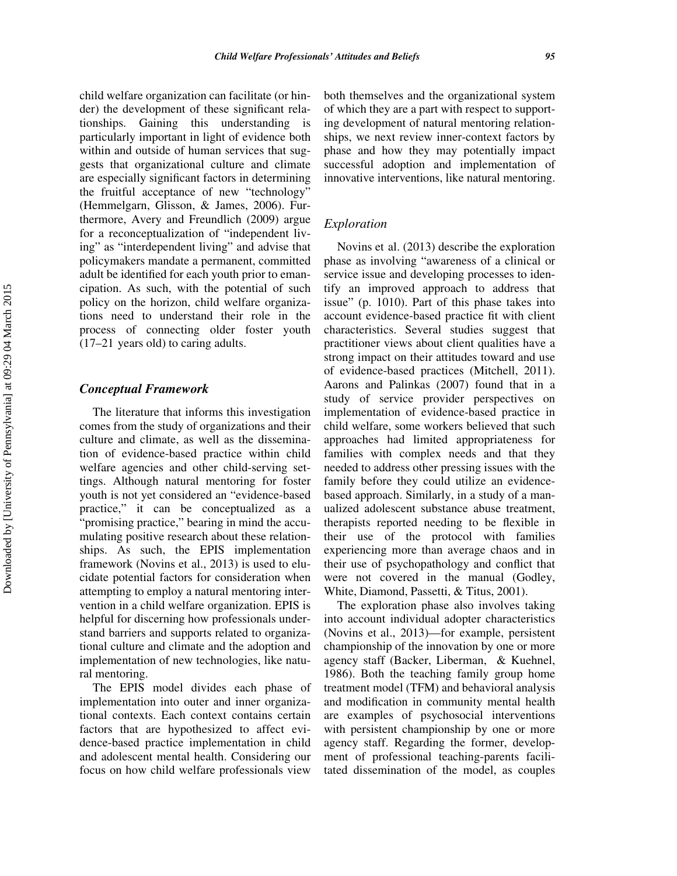child welfare organization can facilitate (or hinder) the development of these significant relationships. Gaining this understanding is particularly important in light of evidence both within and outside of human services that suggests that organizational culture and climate are especially significant factors in determining the fruitful acceptance of new "technology" (Hemmelgarn, Glisson, & James, 2006). Furthermore, Avery and Freundlich (2009) argue for a reconceptualization of "independent living" as "interdependent living" and advise that policymakers mandate a permanent, committed adult be identified for each youth prior to emancipation. As such, with the potential of such policy on the horizon, child welfare organizations need to understand their role in the process of connecting older foster youth (17–21 years old) to caring adults.

## Conceptual Framework

The literature that informs this investigation comes from the study of organizations and their culture and climate, as well as the dissemination of evidence-based practice within child welfare agencies and other child-serving settings. Although natural mentoring for foster youth is not yet considered an "evidence-based practice," it can be conceptualized as a "promising practice," bearing in mind the accumulating positive research about these relationships. As such, the EPIS implementation framework (Novins et al., 2013) is used to elucidate potential factors for consideration when attempting to employ a natural mentoring intervention in a child welfare organization. EPIS is helpful for discerning how professionals understand barriers and supports related to organizational culture and climate and the adoption and implementation of new technologies, like natural mentoring.

The EPIS model divides each phase of implementation into outer and inner organizational contexts. Each context contains certain factors that are hypothesized to affect evidence-based practice implementation in child and adolescent mental health. Considering our focus on how child welfare professionals view

both themselves and the organizational system of which they are a part with respect to supporting development of natural mentoring relationships, we next review inner-context factors by phase and how they may potentially impact successful adoption and implementation of innovative interventions, like natural mentoring.

## Exploration

Novins et al. (2013) describe the exploration phase as involving "awareness of a clinical or service issue and developing processes to identify an improved approach to address that issue" (p. 1010). Part of this phase takes into account evidence-based practice fit with client characteristics. Several studies suggest that practitioner views about client qualities have a strong impact on their attitudes toward and use of evidence-based practices (Mitchell, 2011). Aarons and Palinkas (2007) found that in a study of service provider perspectives on implementation of evidence-based practice in child welfare, some workers believed that such approaches had limited appropriateness for families with complex needs and that they needed to address other pressing issues with the family before they could utilize an evidencebased approach. Similarly, in a study of a manualized adolescent substance abuse treatment, therapists reported needing to be flexible in their use of the protocol with families experiencing more than average chaos and in their use of psychopathology and conflict that were not covered in the manual (Godley, White, Diamond, Passetti, & Titus, 2001).

The exploration phase also involves taking into account individual adopter characteristics (Novins et al., 2013)—for example, persistent championship of the innovation by one or more agency staff (Backer, Liberman, & Kuehnel, 1986). Both the teaching family group home treatment model (TFM) and behavioral analysis and modification in community mental health are examples of psychosocial interventions with persistent championship by one or more agency staff. Regarding the former, development of professional teaching-parents facilitated dissemination of the model, as couples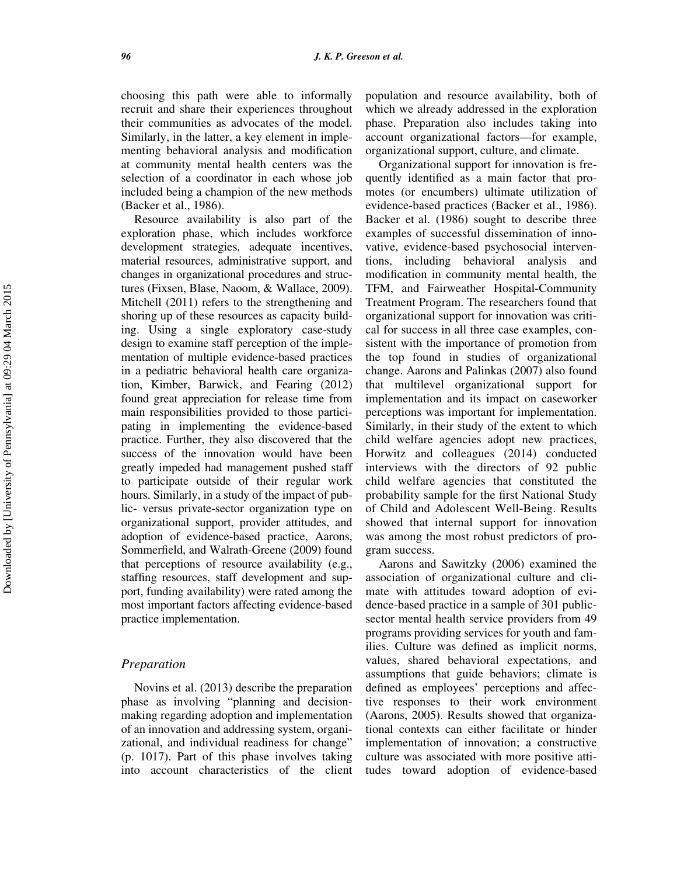choosing this path were able to informally recruit and share their experiences throughout their communities as advocates of the model. Similarly, in the latter, a key element in implementing behavioral analysis and modification at community mental health centers was the selection of a coordinator in each whose job included being a champion of the new methods (Backer et al., 1986).

Resource availability is also part of the exploration phase, which includes workforce development strategies, adequate incentives, material resources, administrative support, and changes in organizational procedures and structures (Fixsen, Blase, Naoom, & Wallace, 2009). Mitchell (2011) refers to the strengthening and shoring up of these resources as capacity building. Using a single exploratory case-study design to examine staff perception of the implementation of multiple evidence-based practices in a pediatric behavioral health care organization, Kimber, Barwick, and Fearing (2012) found great appreciation for release time from main responsibilities provided to those participating in implementing the evidence-based practice. Further, they also discovered that the success of the innovation would have been greatly impeded had management pushed staff to participate outside of their regular work hours. Similarly, in a study of the impact of public- versus private-sector organization type on organizational support, provider attitudes, and adoption of evidence-based practice, Aarons, Sommerfield, and Walrath-Greene (2009) found that perceptions of resource availability (e.g., staffing resources, staff development and support, funding availability) were rated among the most important factors affecting evidence-based practice implementation.

## Preparation

Novins et al. (2013) describe the preparation phase as involving "planning and decisionmaking regarding adoption and implementation of an innovation and addressing system, organizational, and individual readiness for change" (p. 1017). Part of this phase involves taking into account characteristics of the client population and resource availability, both of which we already addressed in the exploration phase. Preparation also includes taking into account organizational factors—for example, organizational support, culture, and climate.

Organizational support for innovation is frequently identified as a main factor that promotes (or encumbers) ultimate utilization of evidence-based practices (Backer et al., 1986). Backer et al. (1986) sought to describe three examples of successful dissemination of innovative, evidence-based psychosocial interventions, including behavioral analysis and modification in community mental health, the TFM, and Fairweather Hospital-Community Treatment Program. The researchers found that organizational support for innovation was critical for success in all three case examples, consistent with the importance of promotion from the top found in studies of organizational change. Aarons and Palinkas (2007) also found that multilevel organizational support for implementation and its impact on caseworker perceptions was important for implementation. Similarly, in their study of the extent to which child welfare agencies adopt new practices, Horwitz and colleagues (2014) conducted interviews with the directors of 92 public child welfare agencies that constituted the probability sample for the first National Study of Child and Adolescent Well-Being. Results showed that internal support for innovation was among the most robust predictors of program success.

Aarons and Sawitzky (2006) examined the association of organizational culture and climate with attitudes toward adoption of evidence-based practice in a sample of 301 publicsector mental health service providers from 49 programs providing services for youth and families. Culture was defined as implicit norms, values, shared behavioral expectations, and assumptions that guide behaviors; climate is defined as employees' perceptions and affective responses to their work environment (Aarons, 2005). Results showed that organizational contexts can either facilitate or hinder implementation of innovation; a constructive culture was associated with more positive attitudes toward adoption of evidence-based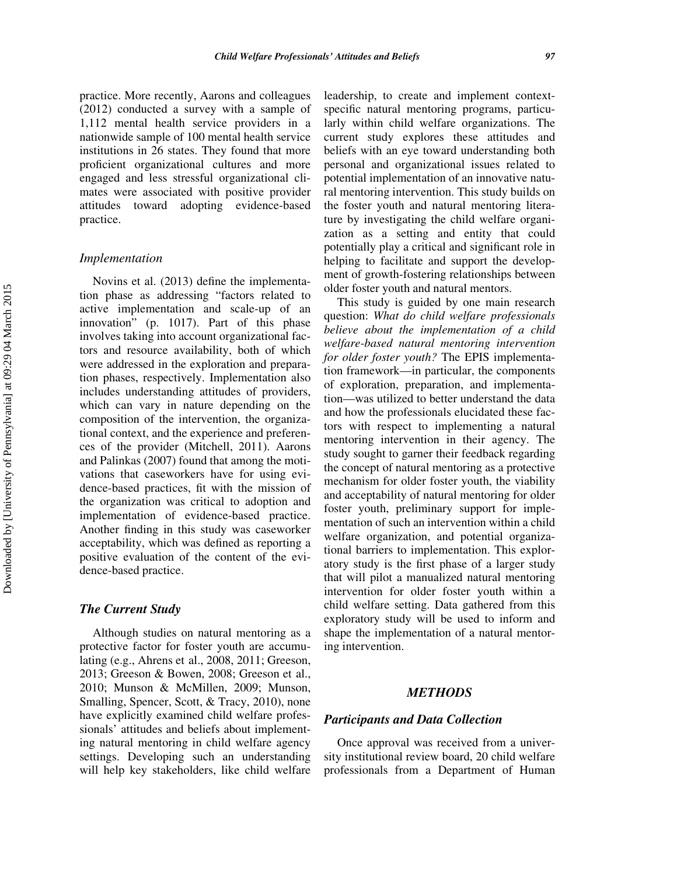practice. More recently, Aarons and colleagues (2012) conducted a survey with a sample of 1,112 mental health service providers in a nationwide sample of 100 mental health service institutions in 26 states. They found that more proficient organizational cultures and more engaged and less stressful organizational climates were associated with positive provider attitudes toward adopting evidence-based practice.

#### Implementation

Novins et al. (2013) define the implementation phase as addressing "factors related to active implementation and scale-up of an innovation" (p. 1017). Part of this phase involves taking into account organizational factors and resource availability, both of which were addressed in the exploration and preparation phases, respectively. Implementation also includes understanding attitudes of providers, which can vary in nature depending on the composition of the intervention, the organizational context, and the experience and preferences of the provider (Mitchell, 2011). Aarons and Palinkas (2007) found that among the motivations that caseworkers have for using evidence-based practices, fit with the mission of the organization was critical to adoption and implementation of evidence-based practice. Another finding in this study was caseworker acceptability, which was defined as reporting a positive evaluation of the content of the evidence-based practice.

#### The Current Study

Although studies on natural mentoring as a protective factor for foster youth are accumulating (e.g., Ahrens et al., 2008, 2011; Greeson, 2013; Greeson & Bowen, 2008; Greeson et al., 2010; Munson & McMillen, 2009; Munson, Smalling, Spencer, Scott, & Tracy, 2010), none have explicitly examined child welfare professionals' attitudes and beliefs about implementing natural mentoring in child welfare agency settings. Developing such an understanding will help key stakeholders, like child welfare

leadership, to create and implement contextspecific natural mentoring programs, particularly within child welfare organizations. The current study explores these attitudes and beliefs with an eye toward understanding both personal and organizational issues related to potential implementation of an innovative natural mentoring intervention. This study builds on the foster youth and natural mentoring literature by investigating the child welfare organization as a setting and entity that could potentially play a critical and significant role in helping to facilitate and support the development of growth-fostering relationships between older foster youth and natural mentors.

This study is guided by one main research question: What do child welfare professionals believe about the implementation of a child welfare-based natural mentoring intervention for older foster youth? The EPIS implementation framework—in particular, the components of exploration, preparation, and implementation—was utilized to better understand the data and how the professionals elucidated these factors with respect to implementing a natural mentoring intervention in their agency. The study sought to garner their feedback regarding the concept of natural mentoring as a protective mechanism for older foster youth, the viability and acceptability of natural mentoring for older foster youth, preliminary support for implementation of such an intervention within a child welfare organization, and potential organizational barriers to implementation. This exploratory study is the first phase of a larger study that will pilot a manualized natural mentoring intervention for older foster youth within a child welfare setting. Data gathered from this exploratory study will be used to inform and shape the implementation of a natural mentoring intervention.

## **METHODS**

## Participants and Data Collection

Once approval was received from a university institutional review board, 20 child welfare professionals from a Department of Human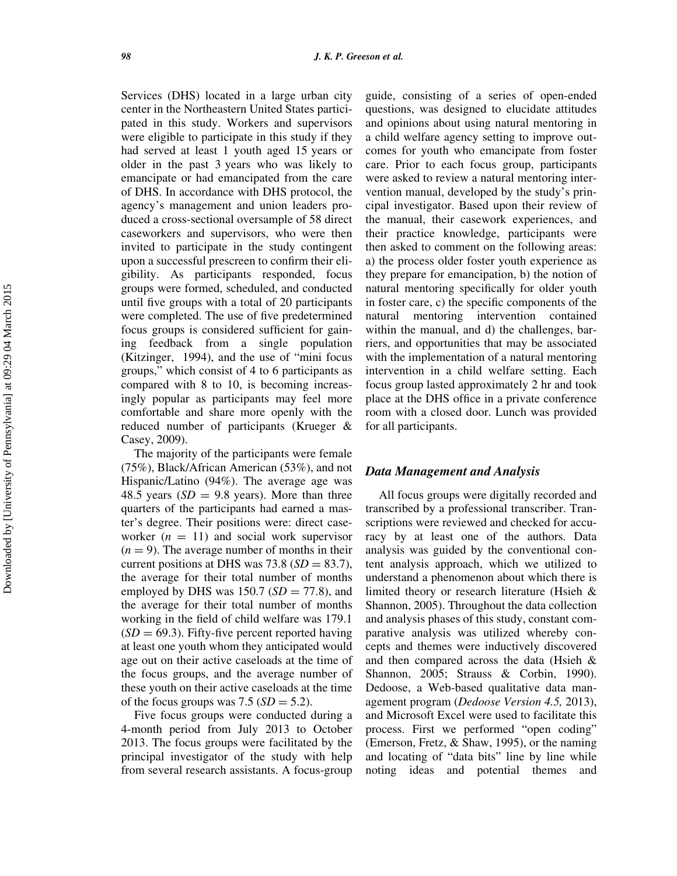Services (DHS) located in a large urban city center in the Northeastern United States participated in this study. Workers and supervisors were eligible to participate in this study if they had served at least 1 youth aged 15 years or older in the past 3 years who was likely to emancipate or had emancipated from the care of DHS. In accordance with DHS protocol, the agency's management and union leaders produced a cross-sectional oversample of 58 direct caseworkers and supervisors, who were then invited to participate in the study contingent upon a successful prescreen to confirm their eligibility. As participants responded, focus groups were formed, scheduled, and conducted until five groups with a total of 20 participants were completed. The use of five predetermined focus groups is considered sufficient for gaining feedback from a single population (Kitzinger, 1994), and the use of "mini focus groups," which consist of 4 to 6 participants as compared with 8 to 10, is becoming increasingly popular as participants may feel more comfortable and share more openly with the reduced number of participants (Krueger & Casey, 2009).

The majority of the participants were female (75%), Black/African American (53%), and not Hispanic/Latino (94%). The average age was 48.5 years  $SD = 9.8$  years). More than three quarters of the participants had earned a master's degree. Their positions were: direct caseworker  $(n = 11)$  and social work supervisor  $(n = 9)$ . The average number of months in their current positions at DHS was 73.8 ( $SD = 83.7$ ), the average for their total number of months employed by DHS was 150.7 ( $SD = 77.8$ ), and the average for their total number of months working in the field of child welfare was 179.1  $(SD = 69.3)$ . Fifty-five percent reported having at least one youth whom they anticipated would age out on their active caseloads at the time of the focus groups, and the average number of these youth on their active caseloads at the time of the focus groups was  $7.5$  ( $SD = 5.2$ ).

Five focus groups were conducted during a 4-month period from July 2013 to October 2013. The focus groups were facilitated by the principal investigator of the study with help from several research assistants. A focus-group guide, consisting of a series of open-ended questions, was designed to elucidate attitudes and opinions about using natural mentoring in a child welfare agency setting to improve outcomes for youth who emancipate from foster care. Prior to each focus group, participants were asked to review a natural mentoring intervention manual, developed by the study's principal investigator. Based upon their review of the manual, their casework experiences, and their practice knowledge, participants were then asked to comment on the following areas: a) the process older foster youth experience as they prepare for emancipation, b) the notion of natural mentoring specifically for older youth in foster care, c) the specific components of the natural mentoring intervention contained within the manual, and d) the challenges, barriers, and opportunities that may be associated with the implementation of a natural mentoring intervention in a child welfare setting. Each focus group lasted approximately 2 hr and took place at the DHS office in a private conference room with a closed door. Lunch was provided for all participants.

## Data Management and Analysis

All focus groups were digitally recorded and transcribed by a professional transcriber. Transcriptions were reviewed and checked for accuracy by at least one of the authors. Data analysis was guided by the conventional content analysis approach, which we utilized to understand a phenomenon about which there is limited theory or research literature (Hsieh & Shannon, 2005). Throughout the data collection and analysis phases of this study, constant comparative analysis was utilized whereby concepts and themes were inductively discovered and then compared across the data (Hsieh & Shannon, 2005; Strauss & Corbin, 1990). Dedoose, a Web-based qualitative data management program (Dedoose Version 4.5, 2013), and Microsoft Excel were used to facilitate this process. First we performed "open coding" (Emerson, Fretz, & Shaw, 1995), or the naming and locating of "data bits" line by line while noting ideas and potential themes and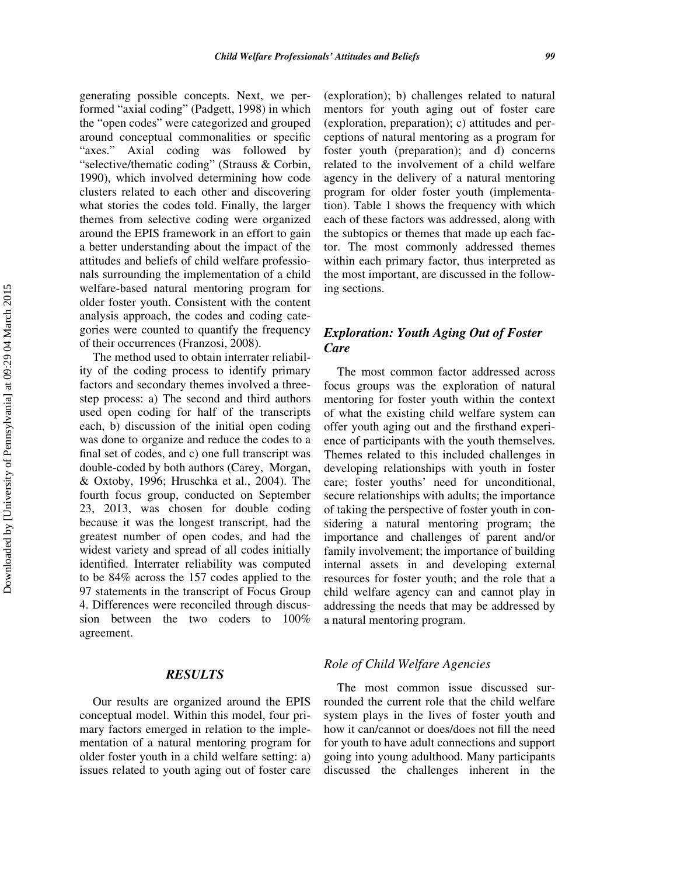generating possible concepts. Next, we performed "axial coding" (Padgett, 1998) in which the "open codes" were categorized and grouped around conceptual commonalities or specific "axes." Axial coding was followed by "selective/thematic coding" (Strauss & Corbin, 1990), which involved determining how code clusters related to each other and discovering what stories the codes told. Finally, the larger themes from selective coding were organized around the EPIS framework in an effort to gain a better understanding about the impact of the attitudes and beliefs of child welfare professionals surrounding the implementation of a child welfare-based natural mentoring program for older foster youth. Consistent with the content analysis approach, the codes and coding categories were counted to quantify the frequency of their occurrences (Franzosi, 2008).

The method used to obtain interrater reliability of the coding process to identify primary factors and secondary themes involved a threestep process: a) The second and third authors used open coding for half of the transcripts each, b) discussion of the initial open coding was done to organize and reduce the codes to a final set of codes, and c) one full transcript was double-coded by both authors (Carey, Morgan, & Oxtoby, 1996; Hruschka et al., 2004). The fourth focus group, conducted on September 23, 2013, was chosen for double coding because it was the longest transcript, had the greatest number of open codes, and had the widest variety and spread of all codes initially identified. Interrater reliability was computed to be 84% across the 157 codes applied to the 97 statements in the transcript of Focus Group 4. Differences were reconciled through discussion between the two coders to 100% agreement.

## **RESULTS**

Our results are organized around the EPIS conceptual model. Within this model, four primary factors emerged in relation to the implementation of a natural mentoring program for older foster youth in a child welfare setting: a) issues related to youth aging out of foster care

(exploration); b) challenges related to natural mentors for youth aging out of foster care (exploration, preparation); c) attitudes and perceptions of natural mentoring as a program for foster youth (preparation); and d) concerns related to the involvement of a child welfare agency in the delivery of a natural mentoring program for older foster youth (implementation). Table 1 shows the frequency with which each of these factors was addressed, along with the subtopics or themes that made up each factor. The most commonly addressed themes within each primary factor, thus interpreted as the most important, are discussed in the following sections.

# Exploration: Youth Aging Out of Foster Care

The most common factor addressed across focus groups was the exploration of natural mentoring for foster youth within the context of what the existing child welfare system can offer youth aging out and the firsthand experience of participants with the youth themselves. Themes related to this included challenges in developing relationships with youth in foster care; foster youths' need for unconditional, secure relationships with adults; the importance of taking the perspective of foster youth in considering a natural mentoring program; the importance and challenges of parent and/or family involvement; the importance of building internal assets in and developing external resources for foster youth; and the role that a child welfare agency can and cannot play in addressing the needs that may be addressed by a natural mentoring program.

## Role of Child Welfare Agencies

The most common issue discussed surrounded the current role that the child welfare system plays in the lives of foster youth and how it can/cannot or does/does not fill the need for youth to have adult connections and support going into young adulthood. Many participants discussed the challenges inherent in the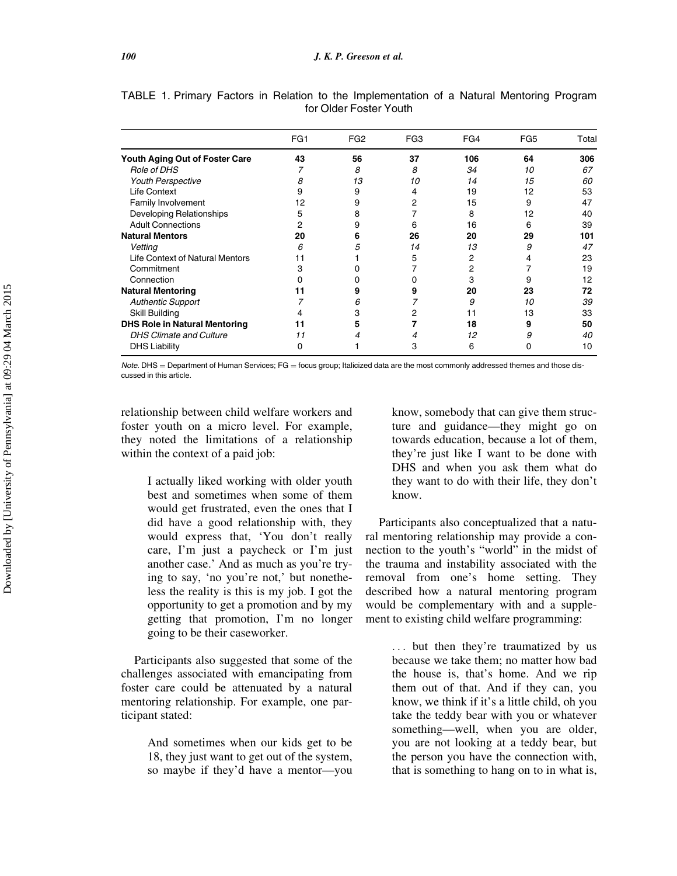|                                        | FG1 | FG <sub>2</sub> | FG <sub>3</sub> | FG4 | FG <sub>5</sub> | Total |
|----------------------------------------|-----|-----------------|-----------------|-----|-----------------|-------|
| Youth Aging Out of Foster Care         | 43  | 56              | 37              | 106 | 64              | 306   |
| Role of DHS                            | 7   | 8               | 8               | 34  | 10              | 67    |
| <b>Youth Perspective</b>               | 8   | 13              | 10              | 14  | 15              | 60    |
| Life Context                           | 9   | 9               | 4               | 19  | 12              | 53    |
| Family Involvement                     | 12  | 9               | 2               | 15  | 9               | 47    |
| Developing Relationships               | 5   | 8               | 7               | 8   | 12              | 40    |
| <b>Adult Connections</b>               | 2   | 9               | 6               | 16  | 6               | 39    |
| <b>Natural Mentors</b>                 | 20  | 6               | 26              | 20  | 29              | 101   |
| Vetting                                | 6   | 5               | 14              | 13  | 9               | 47    |
| <b>Life Context of Natural Mentors</b> | 11  |                 | 5               | 2   | 4               | 23    |
| Commitment                             | 3   |                 | 7               | 2   |                 | 19    |
| Connection                             | 0   |                 | 0               | 3   | 9               | 12    |
| <b>Natural Mentoring</b>               | 11  |                 | 9               | 20  | 23              | 72    |
| <b>Authentic Support</b>               | 7   | 6               | 7               | 9   | 10              | 39    |
| Skill Building                         | 4   | з               | 2               | 11  | 13              | 33    |
| <b>DHS Role in Natural Mentoring</b>   | 11  | 5               |                 | 18  | 9               | 50    |
| <b>DHS Climate and Culture</b>         | 11  | 4               | 4               | 12  | 9               | 40    |
| <b>DHS Liability</b>                   | 0   |                 | 3               | 6   | 0               | 10    |

TABLE 1. Primary Factors in Relation to the Implementation of a Natural Mentoring Program for Older Foster Youth

Note. DHS = Department of Human Services; FG = focus group; Italicized data are the most commonly addressed themes and those discussed in this article.

relationship between child welfare workers and foster youth on a micro level. For example, they noted the limitations of a relationship within the context of a paid job:

> I actually liked working with older youth best and sometimes when some of them would get frustrated, even the ones that I did have a good relationship with, they would express that, 'You don't really care, I'm just a paycheck or I'm just another case.' And as much as you're trying to say, 'no you're not,' but nonetheless the reality is this is my job. I got the opportunity to get a promotion and by my getting that promotion, I'm no longer going to be their caseworker.

Participants also suggested that some of the challenges associated with emancipating from foster care could be attenuated by a natural mentoring relationship. For example, one participant stated:

> And sometimes when our kids get to be 18, they just want to get out of the system, so maybe if they'd have a mentor—you

know, somebody that can give them structure and guidance—they might go on towards education, because a lot of them, they're just like I want to be done with DHS and when you ask them what do they want to do with their life, they don't know.

Participants also conceptualized that a natural mentoring relationship may provide a connection to the youth's "world" in the midst of the trauma and instability associated with the removal from one's home setting. They described how a natural mentoring program would be complementary with and a supplement to existing child welfare programming:

> ... but then they're traumatized by us because we take them; no matter how bad the house is, that's home. And we rip them out of that. And if they can, you know, we think if it's a little child, oh you take the teddy bear with you or whatever something—well, when you are older, you are not looking at a teddy bear, but the person you have the connection with, that is something to hang on to in what is,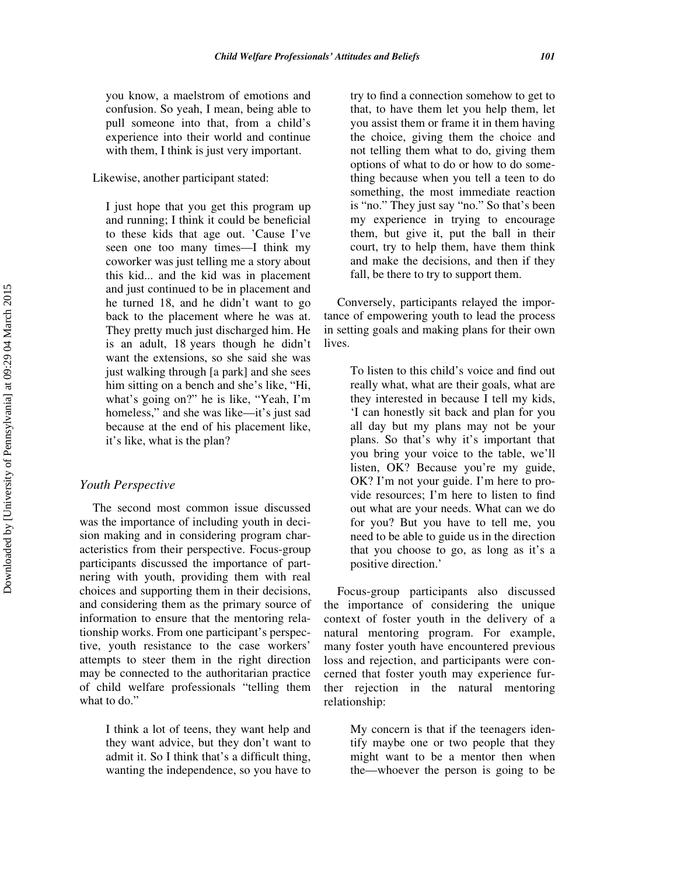you know, a maelstrom of emotions and confusion. So yeah, I mean, being able to pull someone into that, from a child's experience into their world and continue with them, I think is just very important.

Likewise, another participant stated:

I just hope that you get this program up and running; I think it could be beneficial to these kids that age out. 'Cause I've seen one too many times—I think my coworker was just telling me a story about this kid... and the kid was in placement and just continued to be in placement and he turned 18, and he didn't want to go back to the placement where he was at. They pretty much just discharged him. He is an adult, 18 years though he didn't want the extensions, so she said she was just walking through [a park] and she sees him sitting on a bench and she's like, "Hi, what's going on?" he is like, "Yeah, I'm homeless," and she was like—it's just sad because at the end of his placement like, it's like, what is the plan?

#### Youth Perspective

The second most common issue discussed was the importance of including youth in decision making and in considering program characteristics from their perspective. Focus-group participants discussed the importance of partnering with youth, providing them with real choices and supporting them in their decisions, and considering them as the primary source of information to ensure that the mentoring relationship works. From one participant's perspective, youth resistance to the case workers' attempts to steer them in the right direction may be connected to the authoritarian practice of child welfare professionals "telling them what to do."

> I think a lot of teens, they want help and they want advice, but they don't want to admit it. So I think that's a difficult thing, wanting the independence, so you have to

try to find a connection somehow to get to that, to have them let you help them, let you assist them or frame it in them having the choice, giving them the choice and not telling them what to do, giving them options of what to do or how to do something because when you tell a teen to do something, the most immediate reaction is "no." They just say "no." So that's been my experience in trying to encourage them, but give it, put the ball in their court, try to help them, have them think and make the decisions, and then if they fall, be there to try to support them.

Conversely, participants relayed the importance of empowering youth to lead the process in setting goals and making plans for their own lives.

> To listen to this child's voice and find out really what, what are their goals, what are they interested in because I tell my kids, 'I can honestly sit back and plan for you all day but my plans may not be your plans. So that's why it's important that you bring your voice to the table, we'll listen, OK? Because you're my guide, OK? I'm not your guide. I'm here to provide resources; I'm here to listen to find out what are your needs. What can we do for you? But you have to tell me, you need to be able to guide us in the direction that you choose to go, as long as it's a positive direction.'

Focus-group participants also discussed the importance of considering the unique context of foster youth in the delivery of a natural mentoring program. For example, many foster youth have encountered previous loss and rejection, and participants were concerned that foster youth may experience further rejection in the natural mentoring relationship:

> My concern is that if the teenagers identify maybe one or two people that they might want to be a mentor then when the—whoever the person is going to be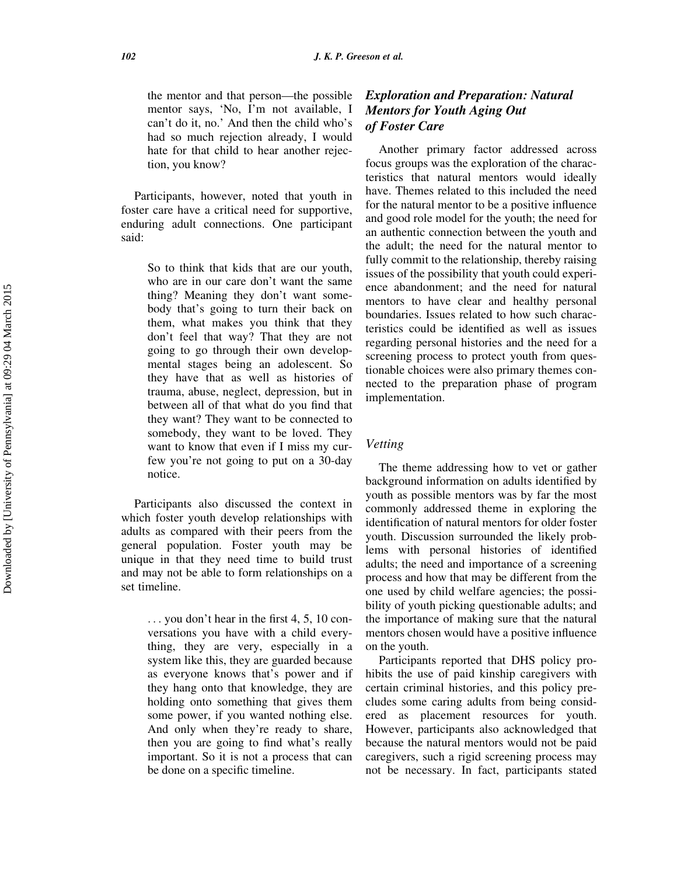the mentor and that person—the possible mentor says, 'No, I'm not available, I can't do it, no.' And then the child who's had so much rejection already, I would hate for that child to hear another rejection, you know?

Participants, however, noted that youth in foster care have a critical need for supportive, enduring adult connections. One participant said:

> So to think that kids that are our youth, who are in our care don't want the same thing? Meaning they don't want somebody that's going to turn their back on them, what makes you think that they don't feel that way? That they are not going to go through their own developmental stages being an adolescent. So they have that as well as histories of trauma, abuse, neglect, depression, but in between all of that what do you find that they want? They want to be connected to somebody, they want to be loved. They want to know that even if I miss my curfew you're not going to put on a 30-day notice.

Participants also discussed the context in which foster youth develop relationships with adults as compared with their peers from the general population. Foster youth may be unique in that they need time to build trust and may not be able to form relationships on a set timeline.

> ... you don't hear in the first 4, 5, 10 conversations you have with a child everything, they are very, especially in a system like this, they are guarded because as everyone knows that's power and if they hang onto that knowledge, they are holding onto something that gives them some power, if you wanted nothing else. And only when they're ready to share, then you are going to find what's really important. So it is not a process that can be done on a specific timeline.

# Exploration and Preparation: Natural Mentors for Youth Aging Out of Foster Care

Another primary factor addressed across focus groups was the exploration of the characteristics that natural mentors would ideally have. Themes related to this included the need for the natural mentor to be a positive influence and good role model for the youth; the need for an authentic connection between the youth and the adult; the need for the natural mentor to fully commit to the relationship, thereby raising issues of the possibility that youth could experience abandonment; and the need for natural mentors to have clear and healthy personal boundaries. Issues related to how such characteristics could be identified as well as issues regarding personal histories and the need for a screening process to protect youth from questionable choices were also primary themes connected to the preparation phase of program implementation.

## Vetting

The theme addressing how to vet or gather background information on adults identified by youth as possible mentors was by far the most commonly addressed theme in exploring the identification of natural mentors for older foster youth. Discussion surrounded the likely problems with personal histories of identified adults; the need and importance of a screening process and how that may be different from the one used by child welfare agencies; the possibility of youth picking questionable adults; and the importance of making sure that the natural mentors chosen would have a positive influence on the youth.

Participants reported that DHS policy prohibits the use of paid kinship caregivers with certain criminal histories, and this policy precludes some caring adults from being considered as placement resources for youth. However, participants also acknowledged that because the natural mentors would not be paid caregivers, such a rigid screening process may not be necessary. In fact, participants stated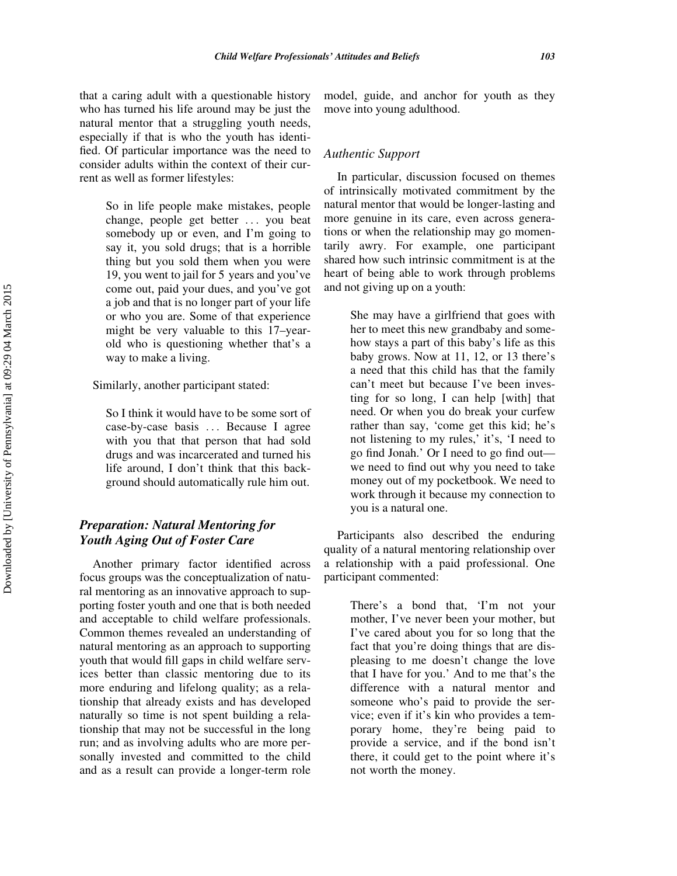that a caring adult with a questionable history who has turned his life around may be just the natural mentor that a struggling youth needs, especially if that is who the youth has identified. Of particular importance was the need to consider adults within the context of their current as well as former lifestyles:

> So in life people make mistakes, people change, people get better ... you beat somebody up or even, and I'm going to say it, you sold drugs; that is a horrible thing but you sold them when you were 19, you went to jail for 5 years and you've come out, paid your dues, and you've got a job and that is no longer part of your life or who you are. Some of that experience might be very valuable to this 17–yearold who is questioning whether that's a way to make a living.

Similarly, another participant stated:

So I think it would have to be some sort of case-by-case basis ... Because I agree with you that that person that had sold drugs and was incarcerated and turned his life around, I don't think that this background should automatically rule him out.

# Preparation: Natural Mentoring for Youth Aging Out of Foster Care

Another primary factor identified across focus groups was the conceptualization of natural mentoring as an innovative approach to supporting foster youth and one that is both needed and acceptable to child welfare professionals. Common themes revealed an understanding of natural mentoring as an approach to supporting youth that would fill gaps in child welfare services better than classic mentoring due to its more enduring and lifelong quality; as a relationship that already exists and has developed naturally so time is not spent building a relationship that may not be successful in the long run; and as involving adults who are more personally invested and committed to the child and as a result can provide a longer-term role

model, guide, and anchor for youth as they move into young adulthood.

## Authentic Support

In particular, discussion focused on themes of intrinsically motivated commitment by the natural mentor that would be longer-lasting and more genuine in its care, even across generations or when the relationship may go momentarily awry. For example, one participant shared how such intrinsic commitment is at the heart of being able to work through problems and not giving up on a youth:

> She may have a girlfriend that goes with her to meet this new grandbaby and somehow stays a part of this baby's life as this baby grows. Now at 11, 12, or 13 there's a need that this child has that the family can't meet but because I've been investing for so long, I can help [with] that need. Or when you do break your curfew rather than say, 'come get this kid; he's not listening to my rules,' it's, 'I need to go find Jonah.' Or I need to go find out we need to find out why you need to take money out of my pocketbook. We need to work through it because my connection to you is a natural one.

Participants also described the enduring quality of a natural mentoring relationship over a relationship with a paid professional. One participant commented:

> There's a bond that, 'I'm not your mother, I've never been your mother, but I've cared about you for so long that the fact that you're doing things that are displeasing to me doesn't change the love that I have for you.' And to me that's the difference with a natural mentor and someone who's paid to provide the service; even if it's kin who provides a temporary home, they're being paid to provide a service, and if the bond isn't there, it could get to the point where it's not worth the money.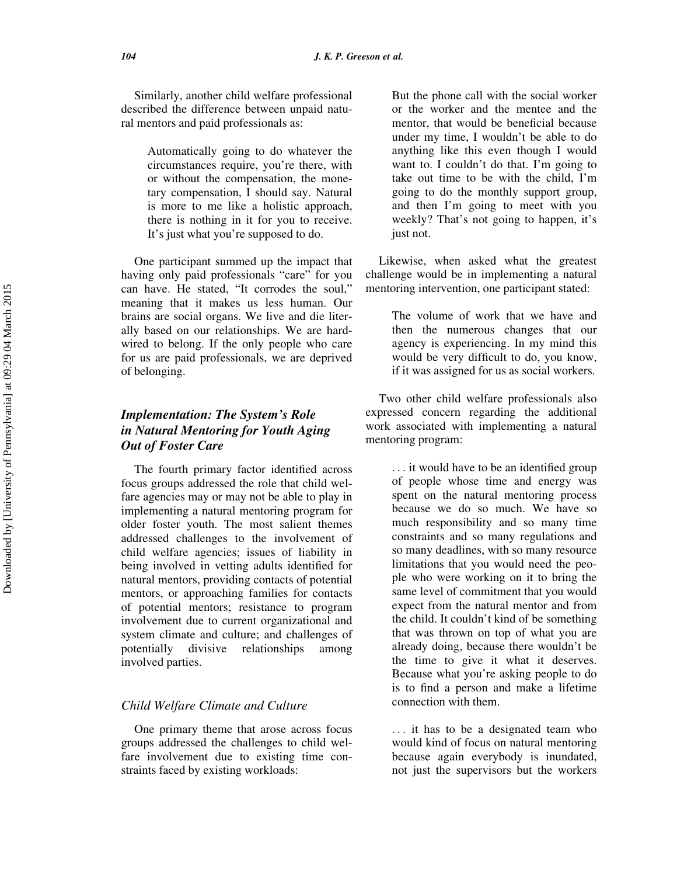Similarly, another child welfare professional described the difference between unpaid natural mentors and paid professionals as:

> Automatically going to do whatever the circumstances require, you're there, with or without the compensation, the monetary compensation, I should say. Natural is more to me like a holistic approach, there is nothing in it for you to receive. It's just what you're supposed to do.

One participant summed up the impact that having only paid professionals "care" for you can have. He stated, "It corrodes the soul," meaning that it makes us less human. Our brains are social organs. We live and die literally based on our relationships. We are hardwired to belong. If the only people who care for us are paid professionals, we are deprived of belonging.

# Implementation: The System's Role in Natural Mentoring for Youth Aging Out of Foster Care

The fourth primary factor identified across focus groups addressed the role that child welfare agencies may or may not be able to play in implementing a natural mentoring program for older foster youth. The most salient themes addressed challenges to the involvement of child welfare agencies; issues of liability in being involved in vetting adults identified for natural mentors, providing contacts of potential mentors, or approaching families for contacts of potential mentors; resistance to program involvement due to current organizational and system climate and culture; and challenges of potentially divisive relationships among involved parties.

# Child Welfare Climate and Culture

One primary theme that arose across focus groups addressed the challenges to child welfare involvement due to existing time constraints faced by existing workloads:

But the phone call with the social worker or the worker and the mentee and the mentor, that would be beneficial because under my time, I wouldn't be able to do anything like this even though I would want to. I couldn't do that. I'm going to take out time to be with the child, I'm going to do the monthly support group, and then I'm going to meet with you weekly? That's not going to happen, it's just not.

Likewise, when asked what the greatest challenge would be in implementing a natural mentoring intervention, one participant stated:

> The volume of work that we have and then the numerous changes that our agency is experiencing. In my mind this would be very difficult to do, you know, if it was assigned for us as social workers.

Two other child welfare professionals also expressed concern regarding the additional work associated with implementing a natural mentoring program:

> ... it would have to be an identified group of people whose time and energy was spent on the natural mentoring process because we do so much. We have so much responsibility and so many time constraints and so many regulations and so many deadlines, with so many resource limitations that you would need the people who were working on it to bring the same level of commitment that you would expect from the natural mentor and from the child. It couldn't kind of be something that was thrown on top of what you are already doing, because there wouldn't be the time to give it what it deserves. Because what you're asking people to do is to find a person and make a lifetime connection with them.

> ... it has to be a designated team who would kind of focus on natural mentoring because again everybody is inundated, not just the supervisors but the workers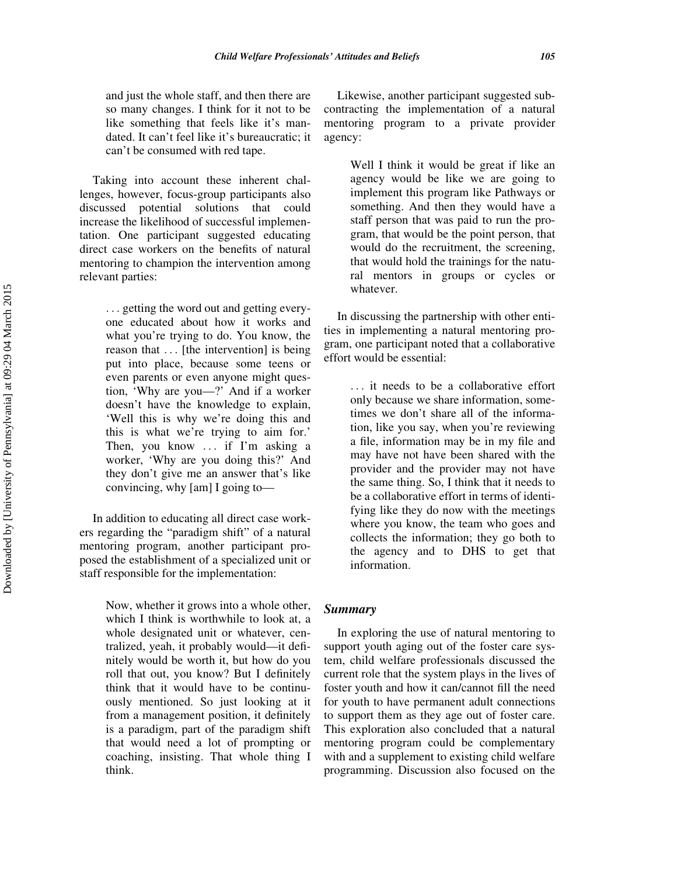and just the whole staff, and then there are so many changes. I think for it not to be like something that feels like it's mandated. It can't feel like it's bureaucratic; it can't be consumed with red tape.

Taking into account these inherent challenges, however, focus-group participants also discussed potential solutions that could increase the likelihood of successful implementation. One participant suggested educating direct case workers on the benefits of natural mentoring to champion the intervention among relevant parties:

> ... getting the word out and getting everyone educated about how it works and what you're trying to do. You know, the reason that ... [the intervention] is being put into place, because some teens or even parents or even anyone might question, 'Why are you—?' And if a worker doesn't have the knowledge to explain, 'Well this is why we're doing this and this is what we're trying to aim for.' Then, you know ... if I'm asking a worker, 'Why are you doing this?' And they don't give me an answer that's like convincing, why [am] I going to—

In addition to educating all direct case workers regarding the "paradigm shift" of a natural mentoring program, another participant proposed the establishment of a specialized unit or staff responsible for the implementation:

> Now, whether it grows into a whole other, which I think is worthwhile to look at, a whole designated unit or whatever, centralized, yeah, it probably would—it definitely would be worth it, but how do you roll that out, you know? But I definitely think that it would have to be continuously mentioned. So just looking at it from a management position, it definitely is a paradigm, part of the paradigm shift that would need a lot of prompting or coaching, insisting. That whole thing I think.

Likewise, another participant suggested subcontracting the implementation of a natural mentoring program to a private provider agency:

> Well I think it would be great if like an agency would be like we are going to implement this program like Pathways or something. And then they would have a staff person that was paid to run the program, that would be the point person, that would do the recruitment, the screening, that would hold the trainings for the natural mentors in groups or cycles or whatever.

In discussing the partnership with other entities in implementing a natural mentoring program, one participant noted that a collaborative effort would be essential:

> ... it needs to be a collaborative effort only because we share information, sometimes we don't share all of the information, like you say, when you're reviewing a file, information may be in my file and may have not have been shared with the provider and the provider may not have the same thing. So, I think that it needs to be a collaborative effort in terms of identifying like they do now with the meetings where you know, the team who goes and collects the information; they go both to the agency and to DHS to get that information.

#### Summary

In exploring the use of natural mentoring to support youth aging out of the foster care system, child welfare professionals discussed the current role that the system plays in the lives of foster youth and how it can/cannot fill the need for youth to have permanent adult connections to support them as they age out of foster care. This exploration also concluded that a natural mentoring program could be complementary with and a supplement to existing child welfare programming. Discussion also focused on the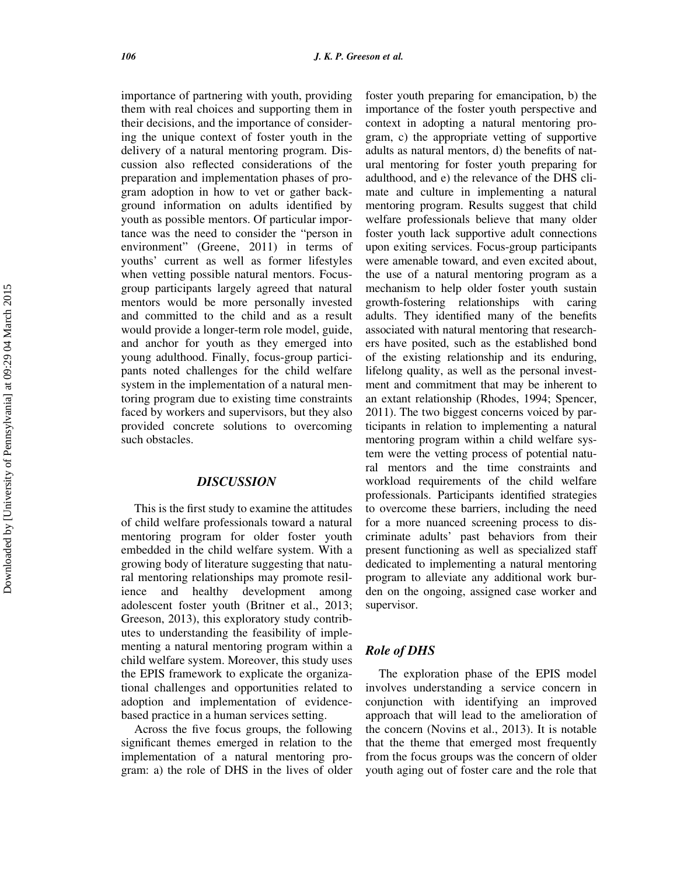importance of partnering with youth, providing them with real choices and supporting them in their decisions, and the importance of considering the unique context of foster youth in the delivery of a natural mentoring program. Discussion also reflected considerations of the preparation and implementation phases of program adoption in how to vet or gather background information on adults identified by youth as possible mentors. Of particular importance was the need to consider the "person in environment" (Greene, 2011) in terms of youths' current as well as former lifestyles when vetting possible natural mentors. Focusgroup participants largely agreed that natural mentors would be more personally invested and committed to the child and as a result would provide a longer-term role model, guide, and anchor for youth as they emerged into young adulthood. Finally, focus-group participants noted challenges for the child welfare system in the implementation of a natural mentoring program due to existing time constraints faced by workers and supervisors, but they also provided concrete solutions to overcoming such obstacles.

## **DISCUSSION**

This is the first study to examine the attitudes of child welfare professionals toward a natural mentoring program for older foster youth embedded in the child welfare system. With a growing body of literature suggesting that natural mentoring relationships may promote resilience and healthy development among adolescent foster youth (Britner et al., 2013; Greeson, 2013), this exploratory study contributes to understanding the feasibility of implementing a natural mentoring program within a child welfare system. Moreover, this study uses the EPIS framework to explicate the organizational challenges and opportunities related to adoption and implementation of evidencebased practice in a human services setting.

Across the five focus groups, the following significant themes emerged in relation to the implementation of a natural mentoring program: a) the role of DHS in the lives of older foster youth preparing for emancipation, b) the importance of the foster youth perspective and context in adopting a natural mentoring program, c) the appropriate vetting of supportive adults as natural mentors, d) the benefits of natural mentoring for foster youth preparing for adulthood, and e) the relevance of the DHS climate and culture in implementing a natural mentoring program. Results suggest that child welfare professionals believe that many older foster youth lack supportive adult connections upon exiting services. Focus-group participants were amenable toward, and even excited about, the use of a natural mentoring program as a mechanism to help older foster youth sustain growth-fostering relationships with caring adults. They identified many of the benefits associated with natural mentoring that researchers have posited, such as the established bond of the existing relationship and its enduring, lifelong quality, as well as the personal investment and commitment that may be inherent to an extant relationship (Rhodes, 1994; Spencer, 2011). The two biggest concerns voiced by participants in relation to implementing a natural mentoring program within a child welfare system were the vetting process of potential natural mentors and the time constraints and workload requirements of the child welfare professionals. Participants identified strategies to overcome these barriers, including the need for a more nuanced screening process to discriminate adults' past behaviors from their present functioning as well as specialized staff dedicated to implementing a natural mentoring program to alleviate any additional work burden on the ongoing, assigned case worker and supervisor.

# Role of DHS

The exploration phase of the EPIS model involves understanding a service concern in conjunction with identifying an improved approach that will lead to the amelioration of the concern (Novins et al., 2013). It is notable that the theme that emerged most frequently from the focus groups was the concern of older youth aging out of foster care and the role that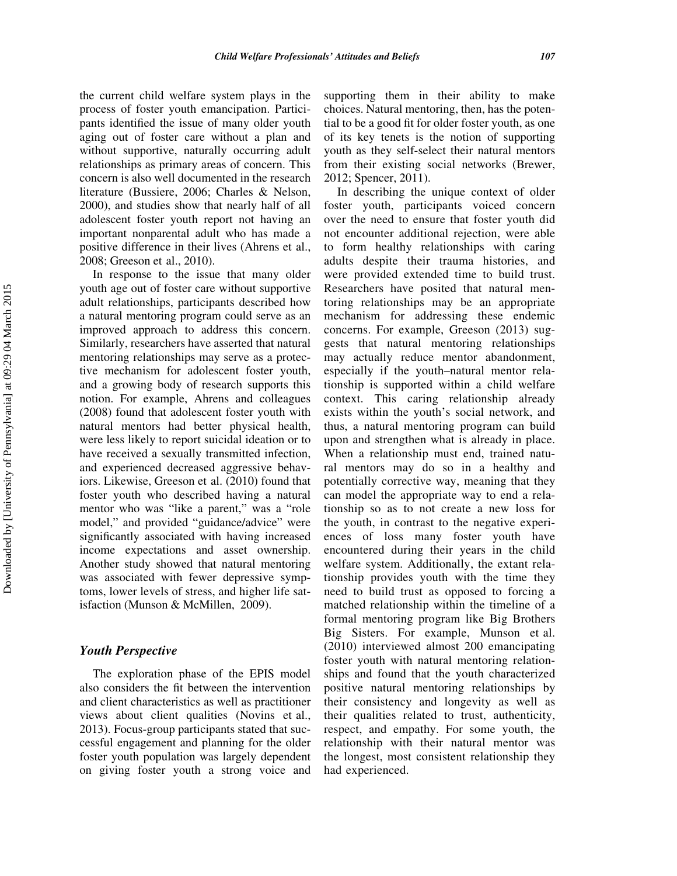the current child welfare system plays in the process of foster youth emancipation. Participants identified the issue of many older youth aging out of foster care without a plan and without supportive, naturally occurring adult relationships as primary areas of concern. This concern is also well documented in the research literature (Bussiere, 2006; Charles & Nelson, 2000), and studies show that nearly half of all adolescent foster youth report not having an important nonparental adult who has made a positive difference in their lives (Ahrens et al., 2008; Greeson et al., 2010).

In response to the issue that many older youth age out of foster care without supportive adult relationships, participants described how a natural mentoring program could serve as an improved approach to address this concern. Similarly, researchers have asserted that natural mentoring relationships may serve as a protective mechanism for adolescent foster youth, and a growing body of research supports this notion. For example, Ahrens and colleagues (2008) found that adolescent foster youth with natural mentors had better physical health, were less likely to report suicidal ideation or to have received a sexually transmitted infection, and experienced decreased aggressive behaviors. Likewise, Greeson et al. (2010) found that foster youth who described having a natural mentor who was "like a parent," was a "role model," and provided "guidance/advice" were significantly associated with having increased income expectations and asset ownership. Another study showed that natural mentoring was associated with fewer depressive symptoms, lower levels of stress, and higher life satisfaction (Munson & McMillen, 2009).

## Youth Perspective

The exploration phase of the EPIS model also considers the fit between the intervention and client characteristics as well as practitioner views about client qualities (Novins et al., 2013). Focus-group participants stated that successful engagement and planning for the older foster youth population was largely dependent on giving foster youth a strong voice and

supporting them in their ability to make choices. Natural mentoring, then, has the potential to be a good fit for older foster youth, as one of its key tenets is the notion of supporting youth as they self-select their natural mentors from their existing social networks (Brewer, 2012; Spencer, 2011).

In describing the unique context of older foster youth, participants voiced concern over the need to ensure that foster youth did not encounter additional rejection, were able to form healthy relationships with caring adults despite their trauma histories, and were provided extended time to build trust. Researchers have posited that natural mentoring relationships may be an appropriate mechanism for addressing these endemic concerns. For example, Greeson (2013) suggests that natural mentoring relationships may actually reduce mentor abandonment, especially if the youth–natural mentor relationship is supported within a child welfare context. This caring relationship already exists within the youth's social network, and thus, a natural mentoring program can build upon and strengthen what is already in place. When a relationship must end, trained natural mentors may do so in a healthy and potentially corrective way, meaning that they can model the appropriate way to end a relationship so as to not create a new loss for the youth, in contrast to the negative experiences of loss many foster youth have encountered during their years in the child welfare system. Additionally, the extant relationship provides youth with the time they need to build trust as opposed to forcing a matched relationship within the timeline of a formal mentoring program like Big Brothers Big Sisters. For example, Munson et al. (2010) interviewed almost 200 emancipating foster youth with natural mentoring relationships and found that the youth characterized positive natural mentoring relationships by their consistency and longevity as well as their qualities related to trust, authenticity, respect, and empathy. For some youth, the relationship with their natural mentor was the longest, most consistent relationship they had experienced.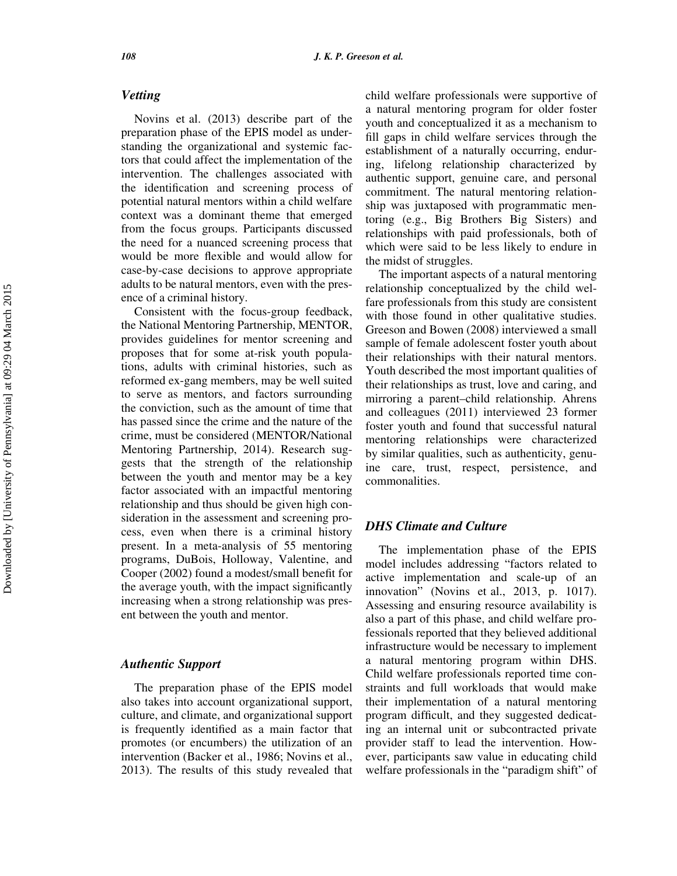## Vetting

Novins et al. (2013) describe part of the preparation phase of the EPIS model as understanding the organizational and systemic factors that could affect the implementation of the intervention. The challenges associated with the identification and screening process of potential natural mentors within a child welfare context was a dominant theme that emerged from the focus groups. Participants discussed the need for a nuanced screening process that would be more flexible and would allow for case-by-case decisions to approve appropriate adults to be natural mentors, even with the presence of a criminal history.

Consistent with the focus-group feedback, the National Mentoring Partnership, MENTOR, provides guidelines for mentor screening and proposes that for some at-risk youth populations, adults with criminal histories, such as reformed ex-gang members, may be well suited to serve as mentors, and factors surrounding the conviction, such as the amount of time that has passed since the crime and the nature of the crime, must be considered (MENTOR/National Mentoring Partnership, 2014). Research suggests that the strength of the relationship between the youth and mentor may be a key factor associated with an impactful mentoring relationship and thus should be given high consideration in the assessment and screening process, even when there is a criminal history present. In a meta-analysis of 55 mentoring programs, DuBois, Holloway, Valentine, and Cooper (2002) found a modest/small benefit for the average youth, with the impact significantly increasing when a strong relationship was present between the youth and mentor.

# Authentic Support

The preparation phase of the EPIS model also takes into account organizational support, culture, and climate, and organizational support is frequently identified as a main factor that promotes (or encumbers) the utilization of an intervention (Backer et al., 1986; Novins et al., 2013). The results of this study revealed that child welfare professionals were supportive of a natural mentoring program for older foster youth and conceptualized it as a mechanism to fill gaps in child welfare services through the establishment of a naturally occurring, enduring, lifelong relationship characterized by authentic support, genuine care, and personal commitment. The natural mentoring relationship was juxtaposed with programmatic mentoring (e.g., Big Brothers Big Sisters) and relationships with paid professionals, both of which were said to be less likely to endure in the midst of struggles.

The important aspects of a natural mentoring relationship conceptualized by the child welfare professionals from this study are consistent with those found in other qualitative studies. Greeson and Bowen (2008) interviewed a small sample of female adolescent foster youth about their relationships with their natural mentors. Youth described the most important qualities of their relationships as trust, love and caring, and mirroring a parent–child relationship. Ahrens and colleagues (2011) interviewed 23 former foster youth and found that successful natural mentoring relationships were characterized by similar qualities, such as authenticity, genuine care, trust, respect, persistence, and commonalities.

## DHS Climate and Culture

The implementation phase of the EPIS model includes addressing "factors related to active implementation and scale-up of an innovation" (Novins et al., 2013, p. 1017). Assessing and ensuring resource availability is also a part of this phase, and child welfare professionals reported that they believed additional infrastructure would be necessary to implement a natural mentoring program within DHS. Child welfare professionals reported time constraints and full workloads that would make their implementation of a natural mentoring program difficult, and they suggested dedicating an internal unit or subcontracted private provider staff to lead the intervention. However, participants saw value in educating child welfare professionals in the "paradigm shift" of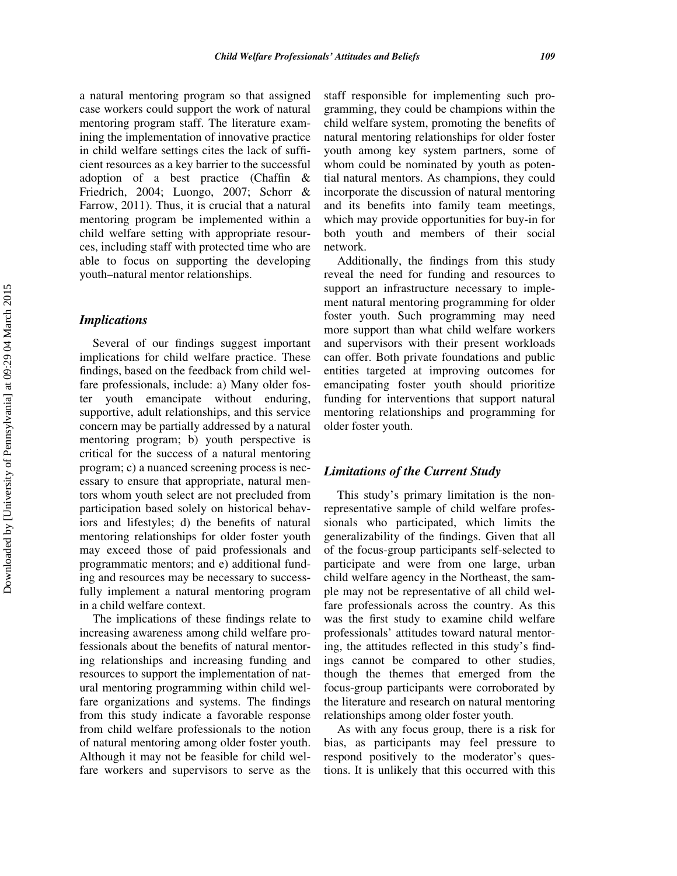a natural mentoring program so that assigned case workers could support the work of natural mentoring program staff. The literature examining the implementation of innovative practice in child welfare settings cites the lack of sufficient resources as a key barrier to the successful adoption of a best practice (Chaffin & Friedrich, 2004; Luongo, 2007; Schorr & Farrow, 2011). Thus, it is crucial that a natural mentoring program be implemented within a child welfare setting with appropriate resources, including staff with protected time who are able to focus on supporting the developing youth–natural mentor relationships.

#### Implications

Several of our findings suggest important implications for child welfare practice. These findings, based on the feedback from child welfare professionals, include: a) Many older foster youth emancipate without enduring, supportive, adult relationships, and this service concern may be partially addressed by a natural mentoring program; b) youth perspective is critical for the success of a natural mentoring program; c) a nuanced screening process is necessary to ensure that appropriate, natural mentors whom youth select are not precluded from participation based solely on historical behaviors and lifestyles; d) the benefits of natural mentoring relationships for older foster youth may exceed those of paid professionals and programmatic mentors; and e) additional funding and resources may be necessary to successfully implement a natural mentoring program in a child welfare context.

The implications of these findings relate to increasing awareness among child welfare professionals about the benefits of natural mentoring relationships and increasing funding and resources to support the implementation of natural mentoring programming within child welfare organizations and systems. The findings from this study indicate a favorable response from child welfare professionals to the notion of natural mentoring among older foster youth. Although it may not be feasible for child welfare workers and supervisors to serve as the

staff responsible for implementing such programming, they could be champions within the child welfare system, promoting the benefits of natural mentoring relationships for older foster youth among key system partners, some of whom could be nominated by youth as potential natural mentors. As champions, they could incorporate the discussion of natural mentoring and its benefits into family team meetings, which may provide opportunities for buy-in for both youth and members of their social network.

Additionally, the findings from this study reveal the need for funding and resources to support an infrastructure necessary to implement natural mentoring programming for older foster youth. Such programming may need more support than what child welfare workers and supervisors with their present workloads can offer. Both private foundations and public entities targeted at improving outcomes for emancipating foster youth should prioritize funding for interventions that support natural mentoring relationships and programming for older foster youth.

## Limitations of the Current Study

This study's primary limitation is the nonrepresentative sample of child welfare professionals who participated, which limits the generalizability of the findings. Given that all of the focus-group participants self-selected to participate and were from one large, urban child welfare agency in the Northeast, the sample may not be representative of all child welfare professionals across the country. As this was the first study to examine child welfare professionals' attitudes toward natural mentoring, the attitudes reflected in this study's findings cannot be compared to other studies, though the themes that emerged from the focus-group participants were corroborated by the literature and research on natural mentoring relationships among older foster youth.

As with any focus group, there is a risk for bias, as participants may feel pressure to respond positively to the moderator's questions. It is unlikely that this occurred with this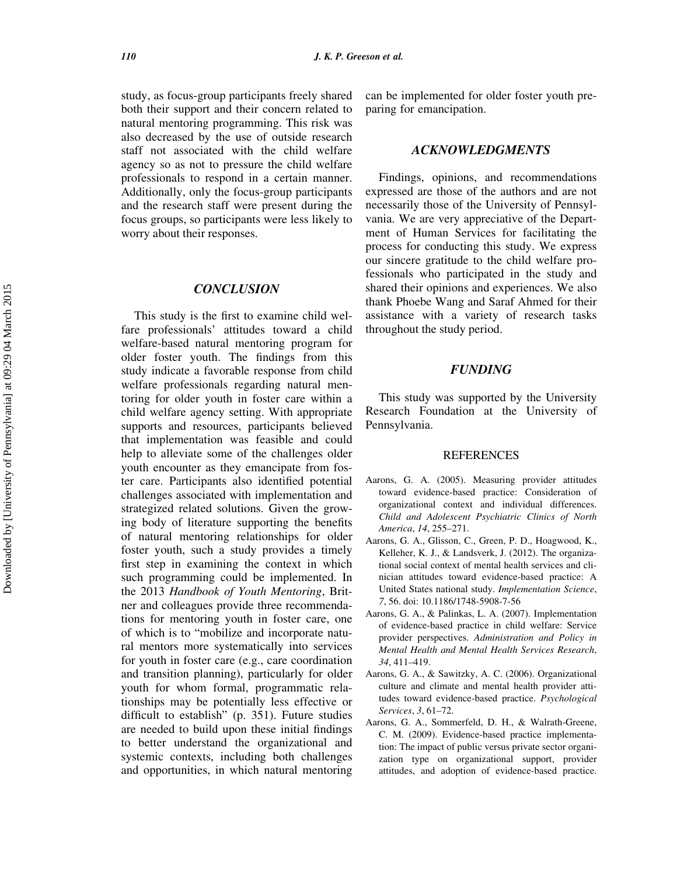study, as focus-group participants freely shared both their support and their concern related to natural mentoring programming. This risk was also decreased by the use of outside research staff not associated with the child welfare agency so as not to pressure the child welfare professionals to respond in a certain manner. Additionally, only the focus-group participants and the research staff were present during the focus groups, so participants were less likely to worry about their responses.

### **CONCLUSION**

This study is the first to examine child welfare professionals' attitudes toward a child welfare-based natural mentoring program for older foster youth. The findings from this study indicate a favorable response from child welfare professionals regarding natural mentoring for older youth in foster care within a child welfare agency setting. With appropriate supports and resources, participants believed that implementation was feasible and could help to alleviate some of the challenges older youth encounter as they emancipate from foster care. Participants also identified potential challenges associated with implementation and strategized related solutions. Given the growing body of literature supporting the benefits of natural mentoring relationships for older foster youth, such a study provides a timely first step in examining the context in which such programming could be implemented. In the 2013 Handbook of Youth Mentoring, Britner and colleagues provide three recommendations for mentoring youth in foster care, one of which is to "mobilize and incorporate natural mentors more systematically into services for youth in foster care (e.g., care coordination and transition planning), particularly for older youth for whom formal, programmatic relationships may be potentially less effective or difficult to establish" (p. 351). Future studies are needed to build upon these initial findings to better understand the organizational and systemic contexts, including both challenges and opportunities, in which natural mentoring can be implemented for older foster youth preparing for emancipation.

#### ACKNOWLEDGMENTS

Findings, opinions, and recommendations expressed are those of the authors and are not necessarily those of the University of Pennsylvania. We are very appreciative of the Department of Human Services for facilitating the process for conducting this study. We express our sincere gratitude to the child welfare professionals who participated in the study and shared their opinions and experiences. We also thank Phoebe Wang and Saraf Ahmed for their assistance with a variety of research tasks throughout the study period.

## FUNDING

This study was supported by the University Research Foundation at the University of Pennsylvania.

## REFERENCES

- Aarons, G. A. (2005). Measuring provider attitudes toward evidence-based practice: Consideration of organizational context and individual differences. Child and Adolescent Psychiatric Clinics of North America, 14, 255–271.
- Aarons, G. A., Glisson, C., Green, P. D., Hoagwood, K., Kelleher, K. J., & Landsverk, J. (2012). The organizational social context of mental health services and clinician attitudes toward evidence-based practice: A United States national study. Implementation Science, 7, 56. doi: 10.1186/1748-5908-7-56
- Aarons, G. A., & Palinkas, L. A. (2007). Implementation of evidence-based practice in child welfare: Service provider perspectives. Administration and Policy in Mental Health and Mental Health Services Research, 34, 411–419.
- Aarons, G. A., & Sawitzky, A. C. (2006). Organizational culture and climate and mental health provider attitudes toward evidence-based practice. Psychological Services, 3, 61–72.
- Aarons, G. A., Sommerfeld, D. H., & Walrath-Greene, C. M. (2009). Evidence-based practice implementation: The impact of public versus private sector organization type on organizational support, provider attitudes, and adoption of evidence-based practice.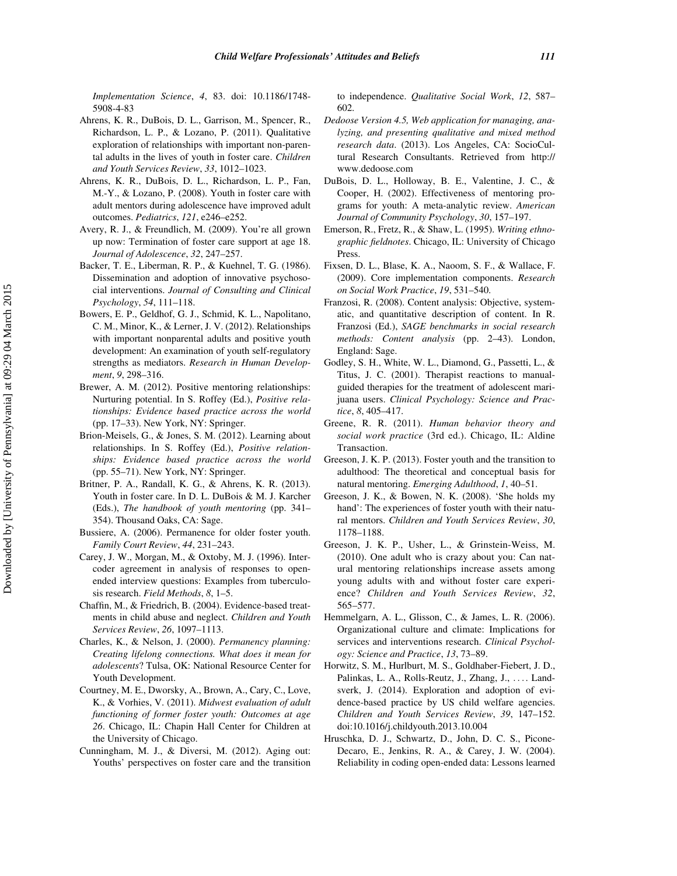Implementation Science, 4, 83. doi: 10.1186/1748- 5908-4-83

- Ahrens, K. R., DuBois, D. L., Garrison, M., Spencer, R., Richardson, L. P., & Lozano, P. (2011). Qualitative exploration of relationships with important non-parental adults in the lives of youth in foster care. Children and Youth Services Review, 33, 1012–1023.
- Ahrens, K. R., DuBois, D. L., Richardson, L. P., Fan, M.-Y., & Lozano, P. (2008). Youth in foster care with adult mentors during adolescence have improved adult outcomes. Pediatrics, 121, e246–e252.
- Avery, R. J., & Freundlich, M. (2009). You're all grown up now: Termination of foster care support at age 18. Journal of Adolescence, 32, 247–257.
- Backer, T. E., Liberman, R. P., & Kuehnel, T. G. (1986). Dissemination and adoption of innovative psychosocial interventions. Journal of Consulting and Clinical Psychology, 54, 111–118.
- Bowers, E. P., Geldhof, G. J., Schmid, K. L., Napolitano, C. M., Minor, K., & Lerner, J. V. (2012). Relationships with important nonparental adults and positive youth development: An examination of youth self-regulatory strengths as mediators. Research in Human Development, 9, 298–316.
- Brewer, A. M. (2012). Positive mentoring relationships: Nurturing potential. In S. Roffey (Ed.), Positive relationships: Evidence based practice across the world (pp. 17–33). New York, NY: Springer.
- Brion-Meisels, G., & Jones, S. M. (2012). Learning about relationships. In S. Roffey (Ed.), Positive relationships: Evidence based practice across the world (pp. 55–71). New York, NY: Springer.
- Britner, P. A., Randall, K. G., & Ahrens, K. R. (2013). Youth in foster care. In D. L. DuBois & M. J. Karcher (Eds.), The handbook of youth mentoring (pp. 341– 354). Thousand Oaks, CA: Sage.
- Bussiere, A. (2006). Permanence for older foster youth. Family Court Review, 44, 231–243.
- Carey, J. W., Morgan, M., & Oxtoby, M. J. (1996). Intercoder agreement in analysis of responses to openended interview questions: Examples from tuberculosis research. Field Methods, 8, 1–5.
- Chaffin, M., & Friedrich, B. (2004). Evidence-based treatments in child abuse and neglect. Children and Youth Services Review, 26, 1097–1113.
- Charles, K., & Nelson, J. (2000). Permanency planning: Creating lifelong connections. What does it mean for adolescents? Tulsa, OK: National Resource Center for Youth Development.
- Courtney, M. E., Dworsky, A., Brown, A., Cary, C., Love, K., & Vorhies, V. (2011). Midwest evaluation of adult functioning of former foster youth: Outcomes at age 26. Chicago, IL: Chapin Hall Center for Children at the University of Chicago.
- Cunningham, M. J., & Diversi, M. (2012). Aging out: Youths' perspectives on foster care and the transition

to independence. Qualitative Social Work, 12, 587– 602.

- Dedoose Version 4.5, Web application for managing, analyzing, and presenting qualitative and mixed method research data. (2013). Los Angeles, CA: SocioCultural Research Consultants. Retrieved from [http://](http://www.dedoose.com) [www.dedoose.com](http://www.dedoose.com)
- DuBois, D. L., Holloway, B. E., Valentine, J. C., & Cooper, H. (2002). Effectiveness of mentoring programs for youth: A meta-analytic review. American Journal of Community Psychology, 30, 157–197.
- Emerson, R., Fretz, R., & Shaw, L. (1995). Writing ethnographic fieldnotes. Chicago, IL: University of Chicago Press.
- Fixsen, D. L., Blase, K. A., Naoom, S. F., & Wallace, F. (2009). Core implementation components. Research on Social Work Practice, 19, 531–540.
- Franzosi, R. (2008). Content analysis: Objective, systematic, and quantitative description of content. In R. Franzosi (Ed.), SAGE benchmarks in social research methods: Content analysis (pp. 2–43). London, England: Sage.
- Godley, S. H., White, W. L., Diamond, G., Passetti, L., & Titus, J. C. (2001). Therapist reactions to manualguided therapies for the treatment of adolescent marijuana users. Clinical Psychology: Science and Practice, 8, 405–417.
- Greene, R. R. (2011). Human behavior theory and social work practice (3rd ed.). Chicago, IL: Aldine Transaction.
- Greeson, J. K. P. (2013). Foster youth and the transition to adulthood: The theoretical and conceptual basis for natural mentoring. Emerging Adulthood, 1, 40–51.
- Greeson, J. K., & Bowen, N. K. (2008). 'She holds my hand': The experiences of foster youth with their natural mentors. Children and Youth Services Review, 30, 1178–1188.
- Greeson, J. K. P., Usher, L., & Grinstein-Weiss, M. (2010). One adult who is crazy about you: Can natural mentoring relationships increase assets among young adults with and without foster care experience? Children and Youth Services Review, 32, 565–577.
- Hemmelgarn, A. L., Glisson, C., & James, L. R. (2006). Organizational culture and climate: Implications for services and interventions research. Clinical Psychology: Science and Practice, 13, 73–89.
- Horwitz, S. M., Hurlburt, M. S., Goldhaber-Fiebert, J. D., Palinkas, L. A., Rolls-Reutz, J., Zhang, J., .... Landsverk, J. (2014). Exploration and adoption of evidence-based practice by US child welfare agencies. Children and Youth Services Review, 39, 147–152. doi:10.1016/j.childyouth.2013.10.004
- Hruschka, D. J., Schwartz, D., John, D. C. S., Picone-Decaro, E., Jenkins, R. A., & Carey, J. W. (2004). Reliability in coding open-ended data: Lessons learned